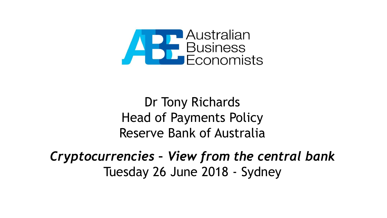

Dr Tony Richards Head of Payments Policy Reserve Bank of Australia

*Cryptocurrencies – View from the central bank* Tuesday 26 June 2018 - Sydney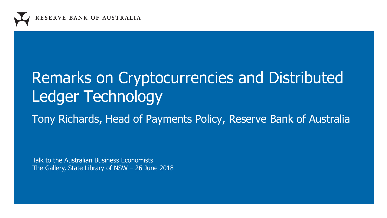

# Remarks on Cryptocurrencies and Distributed Ledger Technology

Tony Richards, Head of Payments Policy, Reserve Bank of Australia

Talk to the Australian Business Economists The Gallery, State Library of NSW – 26 June 2018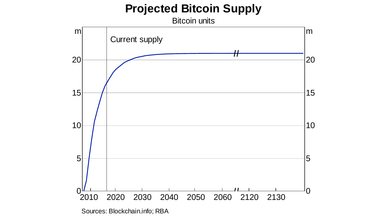## **Projected Bitcoin Supply**

Bitcoin units

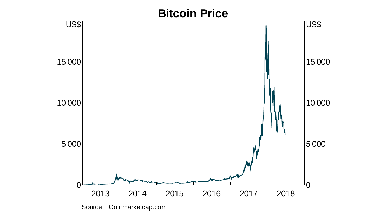## **Bitcoin Price**



Source: Coinmarketcap.com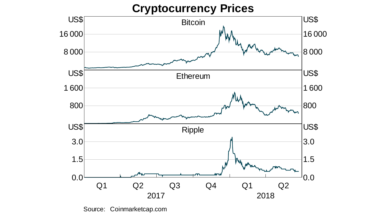#### **Cryptocurrency Prices**



Source: Coinmarketcap.com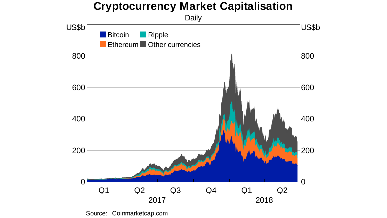#### **Cryptocurrency Market Capitalisation**



Source: Coinmarketcap.com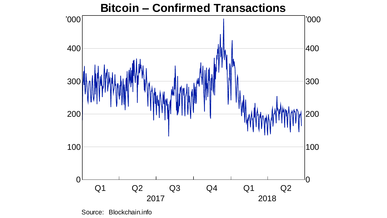

Source: Blockchain.info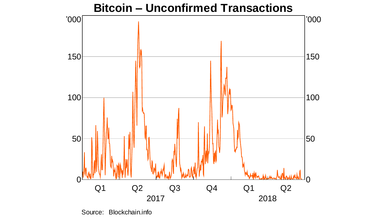

**Bitcoin – Unconfirmed Transactions**

Source: Blockchain.info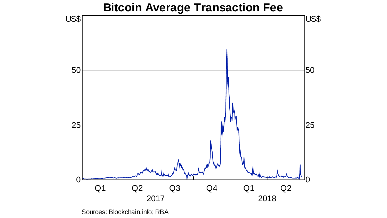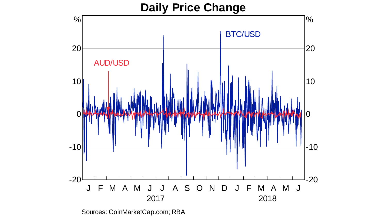### J F M A M J J A S O N D J F M A M J 2017 2018 -20 -10  $\Omega$ 10 20 % -20  $-10$ 0 10 20 % **Daily Price Change** BTC/USD AUD/USD

Sources: CoinMarketCap.com; RBA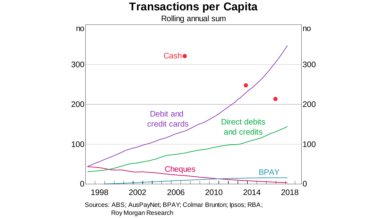#### **Transactions per Capita**

Rolling annual sum

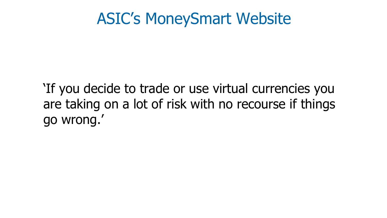## ASIC's MoneySmart Website

'If you decide to trade or use virtual currencies you are taking on a lot of risk with no recourse if things go wrong.'